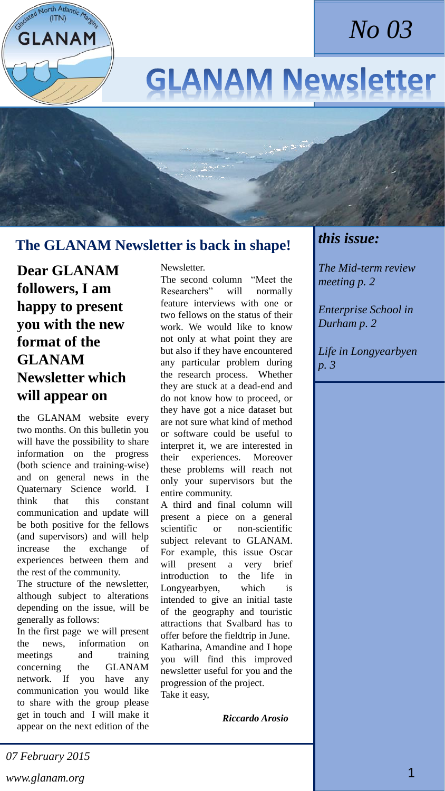

# **GLANAM Newsletter**

# **The GLANAM Newsletter is back in shape!**

**Dear GLANAM followers, I am happy to present you with the new format of the GLANAM Newsletter which will appear on** 

GLANAM

**t**he GLANAM website every two months. On this bulletin you will have the possibility to share information on the progress (both science and training-wise) and on general news in the Quaternary Science world. I think that this constant communication and update will be both positive for the fellows (and supervisors) and will help increase the exchange of experiences between them and the rest of the community.

The structure of the newsletter, although subject to alterations depending on the issue, will be generally as follows:

In the first page we will present the news, information on meetings and training concerning the GLANAM network. If you have any communication you would like to share with the group please get in touch and I will make it appear on the next edition of the

Newsletter.

The second column "Meet the Researchers" will normally feature interviews with one or two fellows on the status of their work. We would like to know not only at what point they are but also if they have encountered any particular problem during the research process. Whether they are stuck at a dead-end and do not know how to proceed, or they have got a nice dataset but are not sure what kind of method or software could be useful to interpret it, we are interested in their experiences. Moreover these problems will reach not only your supervisors but the entire community.

A third and final column will present a piece on a general scientific or non-scientific subject relevant to GLANAM. For example, this issue Oscar will present a very brief introduction to the life in Longyearbyen, which is intended to give an initial taste of the geography and touristic attractions that Svalbard has to offer before the fieldtrip in June. Katharina, Amandine and I hope you will find this improved newsletter useful for you and the progression of the project. Take it easy,

 *Riccardo Arosio*

## *this issue:*

*The Mid-term review meeting p. 2*

*Enterprise School in Durham p. 2*

*Life in Longyearbyen p. 3*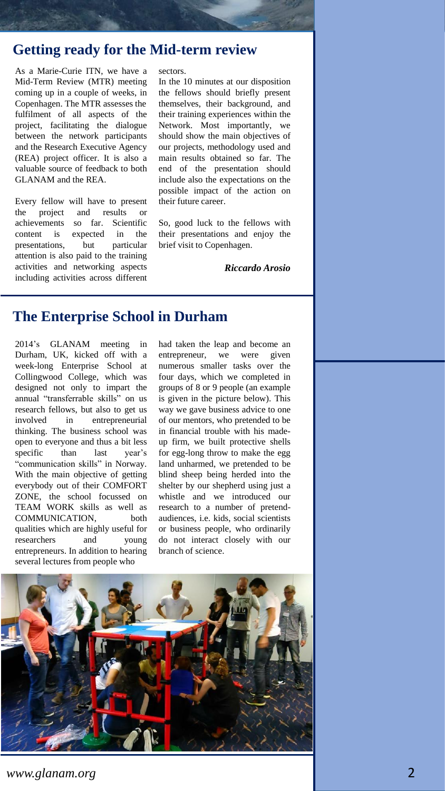## **Getting ready for the Mid-term review**

As a Marie-Curie ITN, we have a Mid-Term Review (MTR) meeting coming up in a couple of weeks, in Copenhagen. The MTR assesses the fulfilment of all aspects of the project, facilitating the dialogue between the network participants and the Research Executive Agency (REA) project officer. It is also a valuable source of feedback to both GLANAM and the REA.

Every fellow will have to present the project and results or achievements so far. Scientific content is expected in the presentations, but particular attention is also paid to the training activities and networking aspects including activities across different

#### sectors.

In the 10 minutes at our disposition the fellows should briefly present themselves, their background, and their training experiences within the Network. Most importantly, we should show the main objectives of our projects, methodology used and main results obtained so far. The end of the presentation should include also the expectations on the possible impact of the action on their future career.

So, good luck to the fellows with their presentations and enjoy the brief visit to Copenhagen.

*Riccardo Arosio*

## **The Enterprise School in Durham**

2014's GLANAM meeting in Durham, UK, kicked off with a week-long Enterprise School at Collingwood College, which was designed not only to impart the annual "transferrable skills" on us research fellows, but also to get us involved in entrepreneurial thinking. The business school was open to everyone and thus a bit less specific than last year's "communication skills" in Norway. With the main objective of getting everybody out of their COMFORT ZONE, the school focussed on TEAM WORK skills as well as COMMUNICATION, both qualities which are highly useful for researchers and young entrepreneurs. In addition to hearing several lectures from people who

had taken the leap and become an entrepreneur, we were given numerous smaller tasks over the four days, which we completed in groups of 8 or 9 people (an example is given in the picture below). This way we gave business advice to one of our mentors, who pretended to be in financial trouble with his madeup firm, we built protective shells for egg-long throw to make the egg land unharmed, we pretended to be blind sheep being herded into the shelter by our shepherd using just a whistle and we introduced our research to a number of pretendaudiences, i.e. kids, social scientists or business people, who ordinarily do not interact closely with our branch of science.

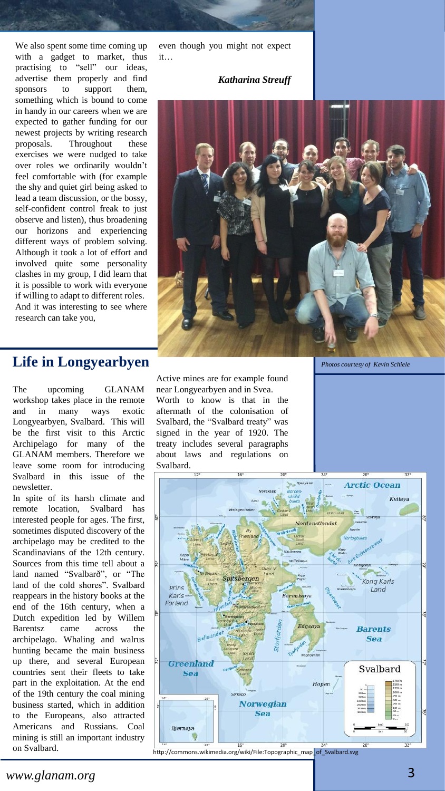We also spent some time coming up with a gadget to market, thus practising to "sell" our ideas, advertise them properly and find sponsors to support them, something which is bound to come in handy in our careers when we are expected to gather funding for our newest projects by writing research proposals. Throughout these exercises we were nudged to take over roles we ordinarily wouldn't feel comfortable with (for example the shy and quiet girl being asked to lead a team discussion, or the bossy, self-confident control freak to just observe and listen), thus broadening our horizons and experiencing different ways of problem solving. Although it took a lot of effort and involved quite some personality clashes in my group, I did learn that it is possible to work with everyone if willing to adapt to different roles. And it was interesting to see where research can take you,

even though you might not expect it…

### *Katharina Streuff*



*Photos courtesy of Kevin Schiele*

## **Life in Longyearbyen**

The upcoming GLANAM workshop takes place in the remote and in many ways exotic Longyearbyen, Svalbard. This will be the first visit to this Arctic Archipelago for many of the GLANAM members. Therefore we leave some room for introducing Svalbard in this issue of the newsletter.

In spite of its harsh climate and remote location, Svalbard has interested people for ages. The first, sometimes disputed discovery of the archipelago may be credited to the Scandinavians of the 12th century. Sources from this time tell about a land named "Svalbarð", or "The land of the cold shores". Svalbard reappears in the history books at the end of the 16th century, when a Dutch expedition led by Willem Barentsz came across the archipelago. Whaling and walrus hunting became the main business up there, and several European countries sent their fleets to take part in the exploitation. At the end of the 19th century the coal mining business started, which in addition to the Europeans, also attracted Americans and Russians. Coal mining is still an important industry on Svalbard.

Active mines are for example found near Longyearbyen and in Svea. Worth to know is that in the aftermath of the colonisation of Svalbard, the "Svalbard treaty" was signed in the year of 1920. The treaty includes several paragraphs about laws and regulations on Svalbard.



http://commons.wikimedia.org/wiki/File:Topographic\_map\_of\_Svalbard.svg

*www.glanam.org* 3